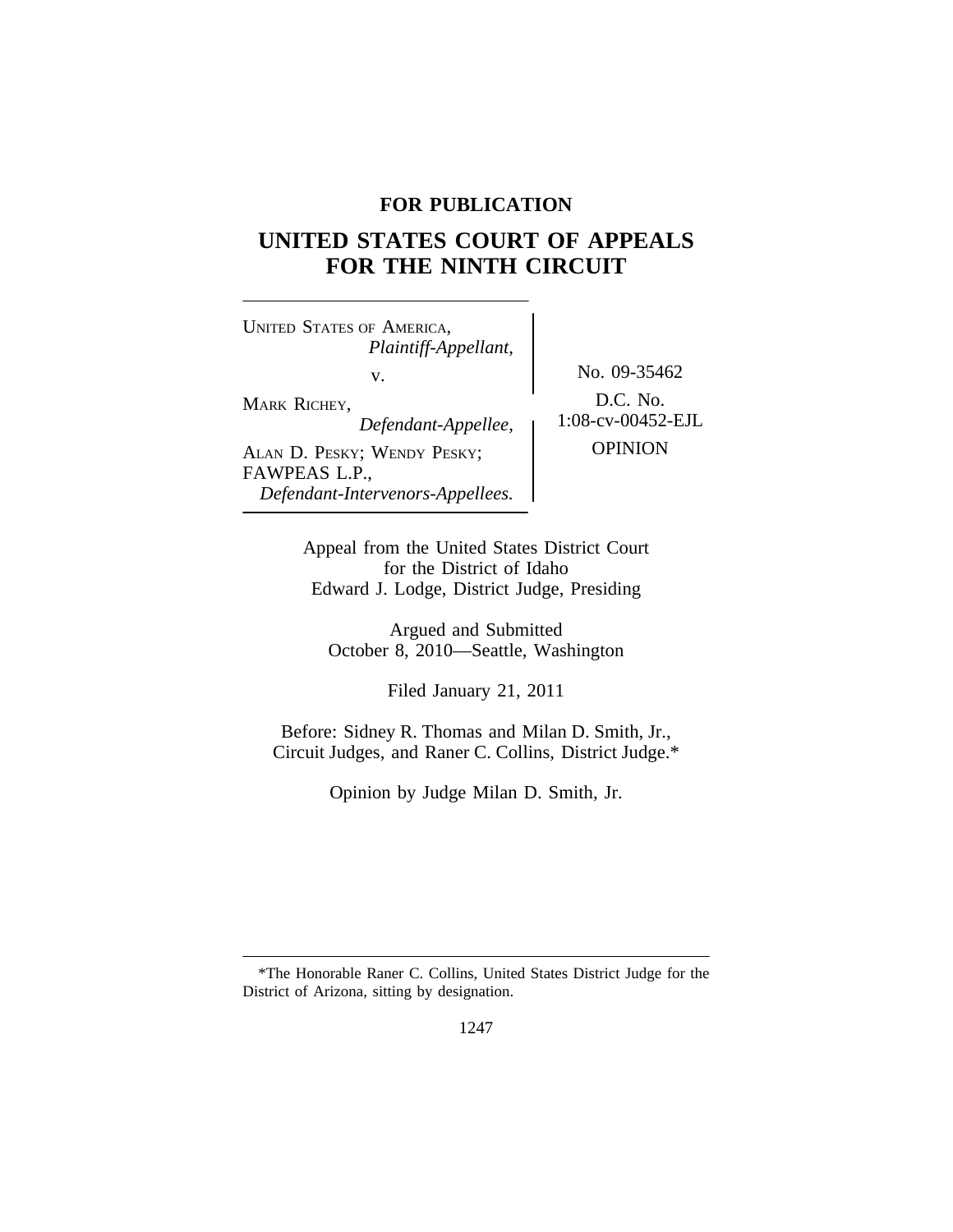# **FOR PUBLICATION**

# **UNITED STATES COURT OF APPEALS FOR THE NINTH CIRCUIT**

<sup>U</sup>NITED STATES OF AMERICA, *Plaintiff-Appellant,* v. No. 09-35462 MARK RICHEY,<br>
Defendant-Appellee 1:08-cv-00452-EJL  $Define$ *Pefendant-Appellee,* ALAN D. PESKY; WENDY PESKY; OPINION FAWPEAS L.P., *Defendant-Intervenors-Appellees.*

Appeal from the United States District Court for the District of Idaho Edward J. Lodge, District Judge, Presiding

Argued and Submitted October 8, 2010—Seattle, Washington

Filed January 21, 2011

Before: Sidney R. Thomas and Milan D. Smith, Jr., Circuit Judges, and Raner C. Collins, District Judge.\*

Opinion by Judge Milan D. Smith, Jr.

<sup>\*</sup>The Honorable Raner C. Collins, United States District Judge for the District of Arizona, sitting by designation.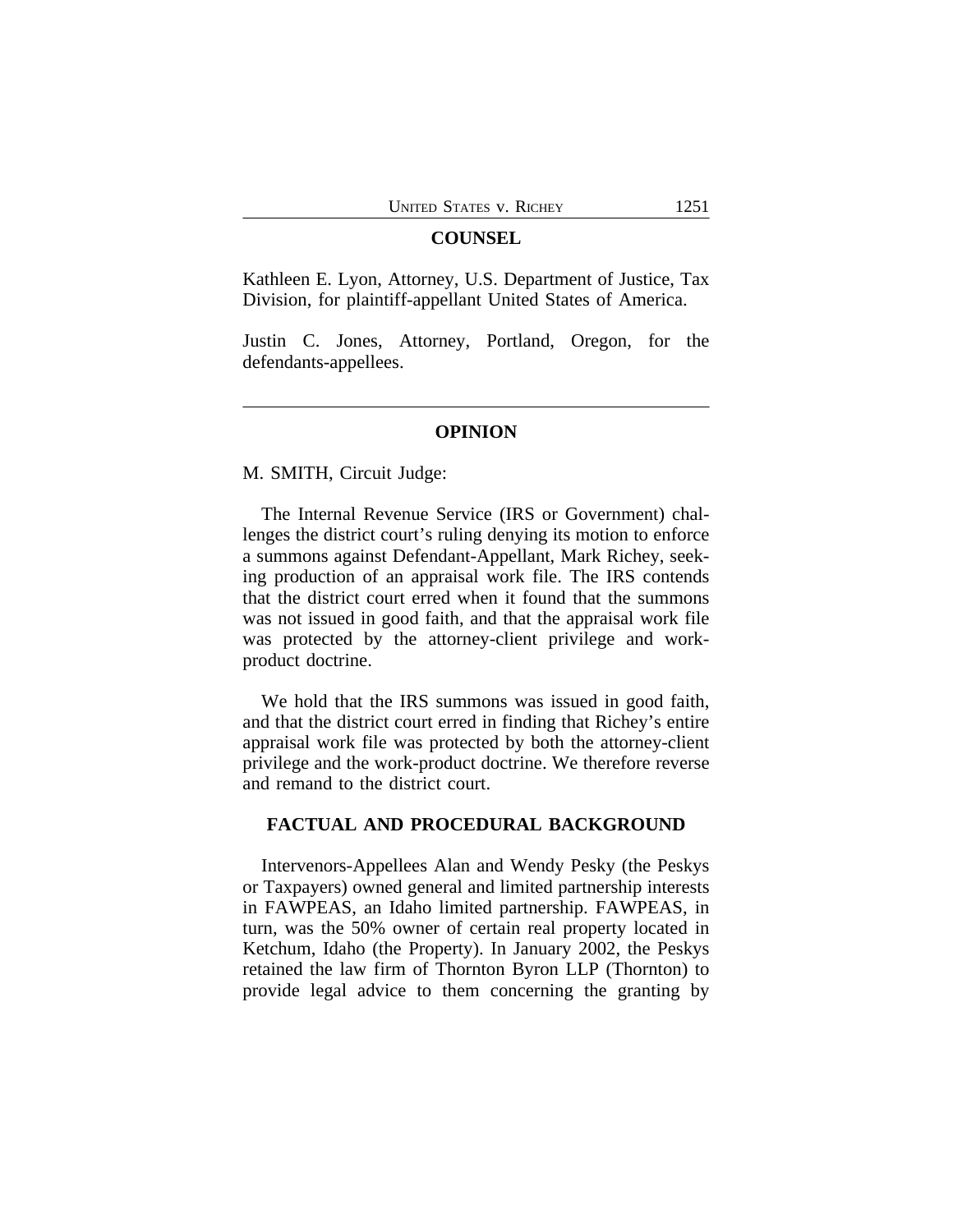#### **COUNSEL**

Kathleen E. Lyon, Attorney, U.S. Department of Justice, Tax Division, for plaintiff-appellant United States of America.

Justin C. Jones, Attorney, Portland, Oregon, for the defendants-appellees.

## **OPINION**

M. SMITH, Circuit Judge:

The Internal Revenue Service (IRS or Government) challenges the district court's ruling denying its motion to enforce a summons against Defendant-Appellant, Mark Richey, seeking production of an appraisal work file. The IRS contends that the district court erred when it found that the summons was not issued in good faith, and that the appraisal work file was protected by the attorney-client privilege and workproduct doctrine.

We hold that the IRS summons was issued in good faith, and that the district court erred in finding that Richey's entire appraisal work file was protected by both the attorney-client privilege and the work-product doctrine. We therefore reverse and remand to the district court.

## **FACTUAL AND PROCEDURAL BACKGROUND**

Intervenors-Appellees Alan and Wendy Pesky (the Peskys or Taxpayers) owned general and limited partnership interests in FAWPEAS, an Idaho limited partnership. FAWPEAS, in turn, was the 50% owner of certain real property located in Ketchum, Idaho (the Property). In January 2002, the Peskys retained the law firm of Thornton Byron LLP (Thornton) to provide legal advice to them concerning the granting by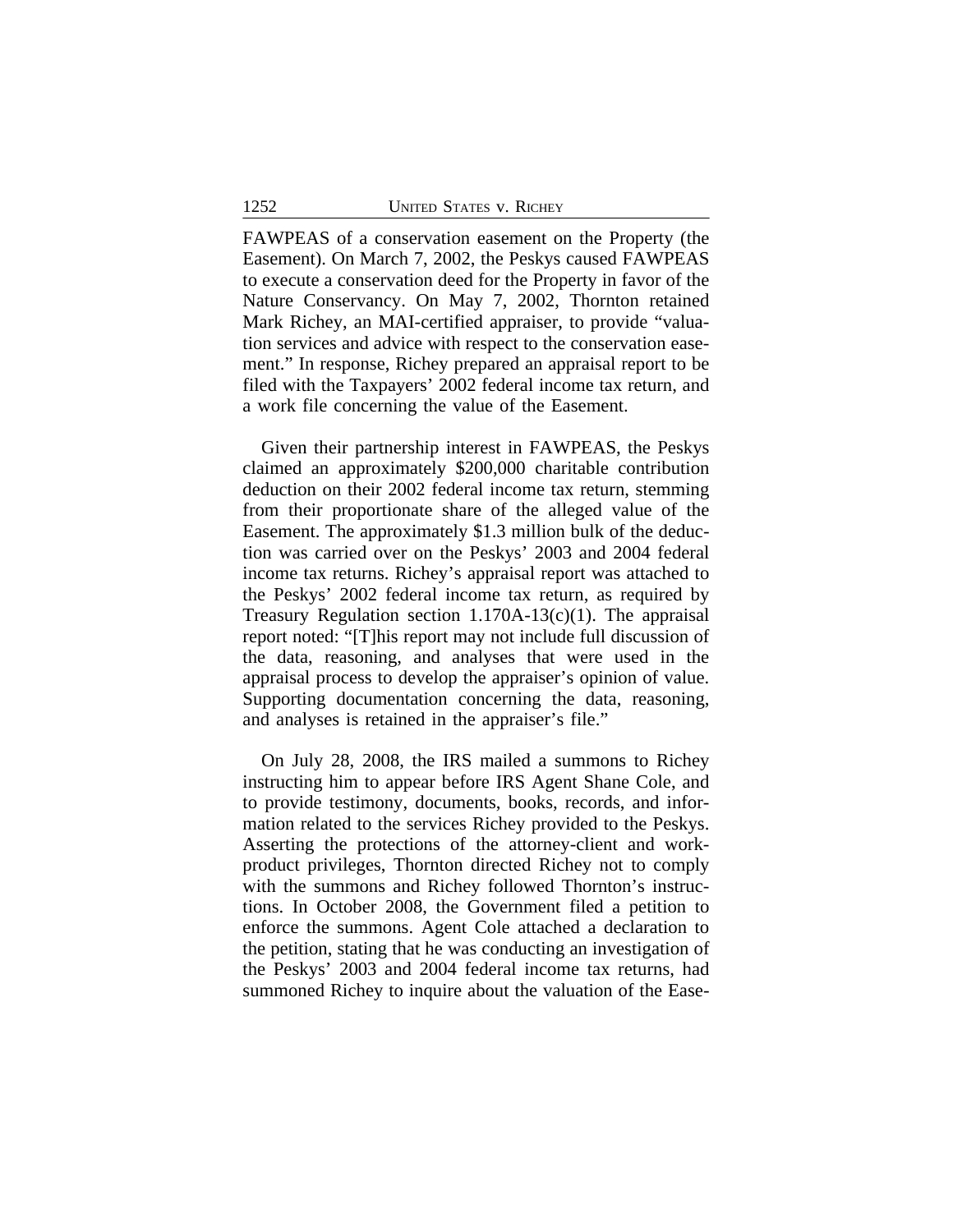FAWPEAS of a conservation easement on the Property (the Easement). On March 7, 2002, the Peskys caused FAWPEAS to execute a conservation deed for the Property in favor of the Nature Conservancy. On May 7, 2002, Thornton retained Mark Richey, an MAI-certified appraiser, to provide "valuation services and advice with respect to the conservation easement." In response, Richey prepared an appraisal report to be filed with the Taxpayers' 2002 federal income tax return, and a work file concerning the value of the Easement.

Given their partnership interest in FAWPEAS, the Peskys claimed an approximately \$200,000 charitable contribution deduction on their 2002 federal income tax return, stemming from their proportionate share of the alleged value of the Easement. The approximately \$1.3 million bulk of the deduction was carried over on the Peskys' 2003 and 2004 federal income tax returns. Richey's appraisal report was attached to the Peskys' 2002 federal income tax return, as required by Treasury Regulation section 1.170A-13(c)(1). The appraisal report noted: "[T]his report may not include full discussion of the data, reasoning, and analyses that were used in the appraisal process to develop the appraiser's opinion of value. Supporting documentation concerning the data, reasoning, and analyses is retained in the appraiser's file."

On July 28, 2008, the IRS mailed a summons to Richey instructing him to appear before IRS Agent Shane Cole, and to provide testimony, documents, books, records, and information related to the services Richey provided to the Peskys. Asserting the protections of the attorney-client and workproduct privileges, Thornton directed Richey not to comply with the summons and Richey followed Thornton's instructions. In October 2008, the Government filed a petition to enforce the summons. Agent Cole attached a declaration to the petition, stating that he was conducting an investigation of the Peskys' 2003 and 2004 federal income tax returns, had summoned Richey to inquire about the valuation of the Ease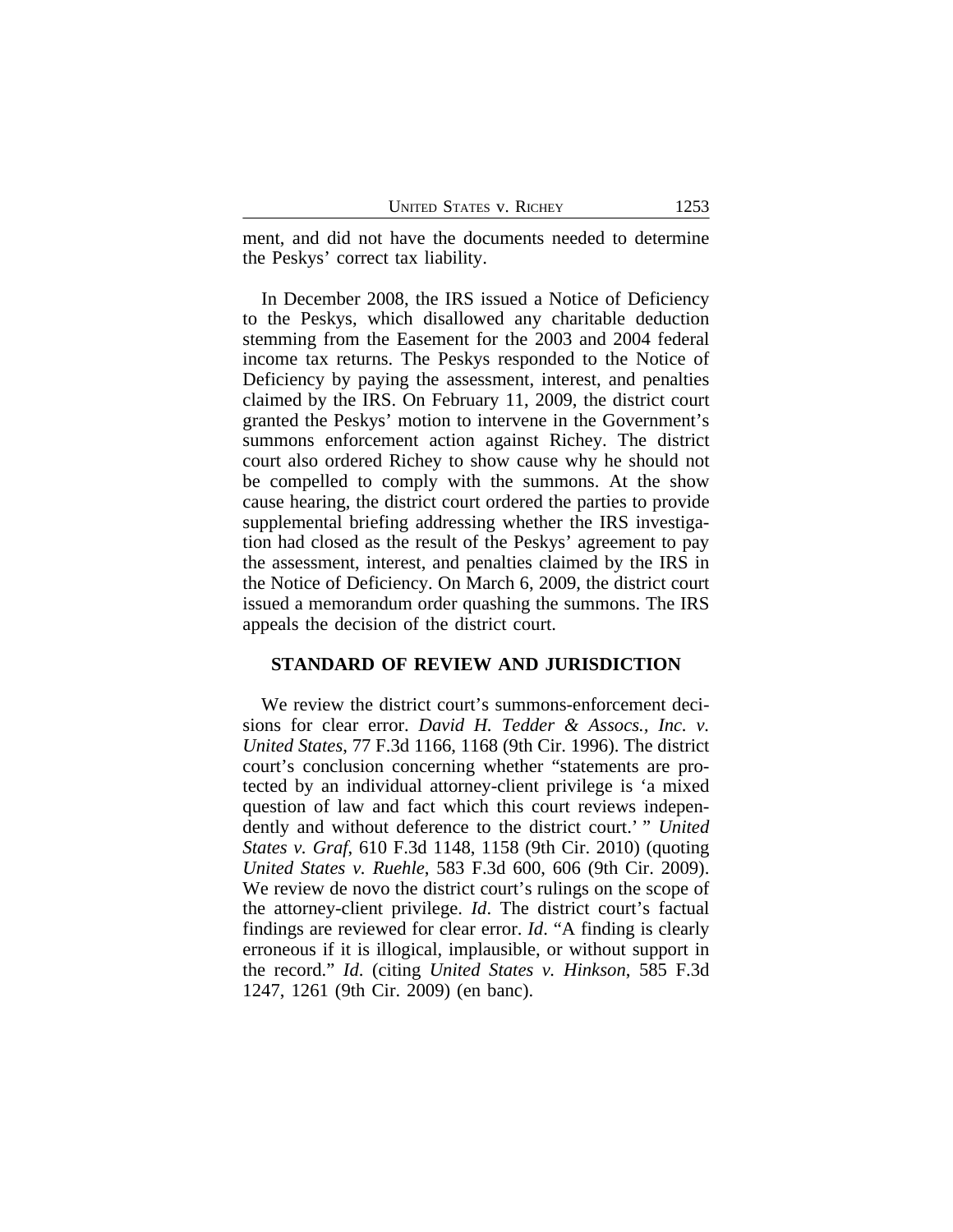ment, and did not have the documents needed to determine the Peskys' correct tax liability.

In December 2008, the IRS issued a Notice of Deficiency to the Peskys, which disallowed any charitable deduction stemming from the Easement for the 2003 and 2004 federal income tax returns. The Peskys responded to the Notice of Deficiency by paying the assessment, interest, and penalties claimed by the IRS. On February 11, 2009, the district court granted the Peskys' motion to intervene in the Government's summons enforcement action against Richey. The district court also ordered Richey to show cause why he should not be compelled to comply with the summons. At the show cause hearing, the district court ordered the parties to provide supplemental briefing addressing whether the IRS investigation had closed as the result of the Peskys' agreement to pay the assessment, interest, and penalties claimed by the IRS in the Notice of Deficiency. On March 6, 2009, the district court issued a memorandum order quashing the summons. The IRS appeals the decision of the district court.

#### **STANDARD OF REVIEW AND JURISDICTION**

We review the district court's summons-enforcement decisions for clear error. *David H. Tedder & Assocs., Inc. v. United States*, 77 F.3d 1166, 1168 (9th Cir. 1996). The district court's conclusion concerning whether "statements are protected by an individual attorney-client privilege is 'a mixed question of law and fact which this court reviews independently and without deference to the district court.' " *United States v. Graf*, 610 F.3d 1148, 1158 (9th Cir. 2010) (quoting *United States v. Ruehle*, 583 F.3d 600, 606 (9th Cir. 2009). We review de novo the district court's rulings on the scope of the attorney-client privilege. *Id*. The district court's factual findings are reviewed for clear error. *Id*. "A finding is clearly erroneous if it is illogical, implausible, or without support in the record." *Id*. (citing *United States v. Hinkson*, 585 F.3d 1247, 1261 (9th Cir. 2009) (en banc).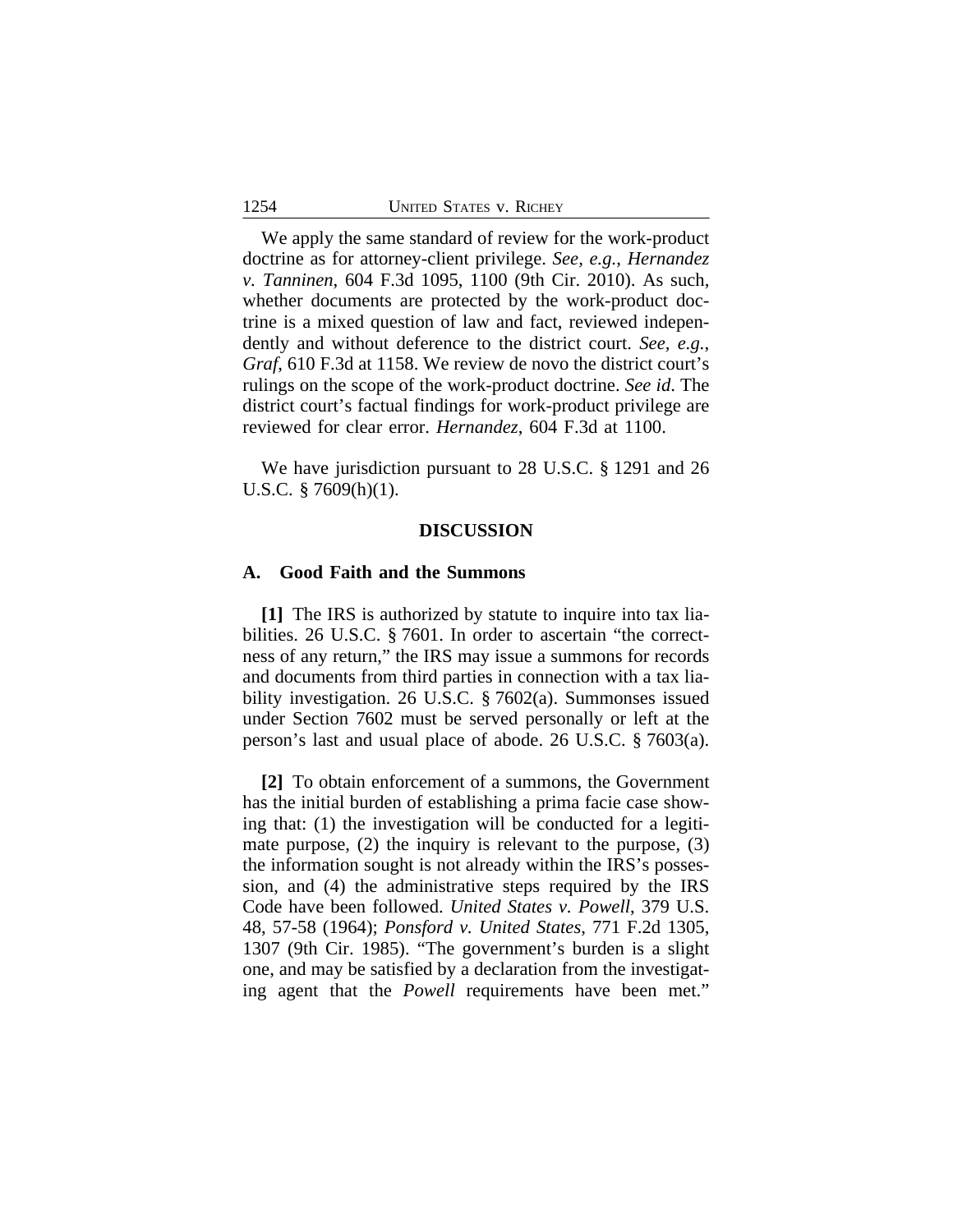We apply the same standard of review for the work-product doctrine as for attorney-client privilege. *See, e.g.*, *Hernandez v. Tanninen*, 604 F.3d 1095, 1100 (9th Cir. 2010). As such, whether documents are protected by the work-product doctrine is a mixed question of law and fact, reviewed independently and without deference to the district court. *See, e.g.*, *Graf*, 610 F.3d at 1158. We review de novo the district court's rulings on the scope of the work-product doctrine. *See id*. The district court's factual findings for work-product privilege are reviewed for clear error. *Hernandez*, 604 F.3d at 1100.

We have jurisdiction pursuant to 28 U.S.C. § 1291 and 26 U.S.C. § 7609(h)(1).

## **DISCUSSION**

## **A. Good Faith and the Summons**

**[1]** The IRS is authorized by statute to inquire into tax liabilities. 26 U.S.C. § 7601. In order to ascertain "the correctness of any return," the IRS may issue a summons for records and documents from third parties in connection with a tax liability investigation. 26 U.S.C. § 7602(a). Summonses issued under Section 7602 must be served personally or left at the person's last and usual place of abode. 26 U.S.C. § 7603(a).

**[2]** To obtain enforcement of a summons, the Government has the initial burden of establishing a prima facie case showing that: (1) the investigation will be conducted for a legitimate purpose, (2) the inquiry is relevant to the purpose, (3) the information sought is not already within the IRS's possession, and (4) the administrative steps required by the IRS Code have been followed. *United States v. Powell*, 379 U.S. 48, 57-58 (1964); *Ponsford v. United States*, 771 F.2d 1305, 1307 (9th Cir. 1985). "The government's burden is a slight one, and may be satisfied by a declaration from the investigating agent that the *Powell* requirements have been met."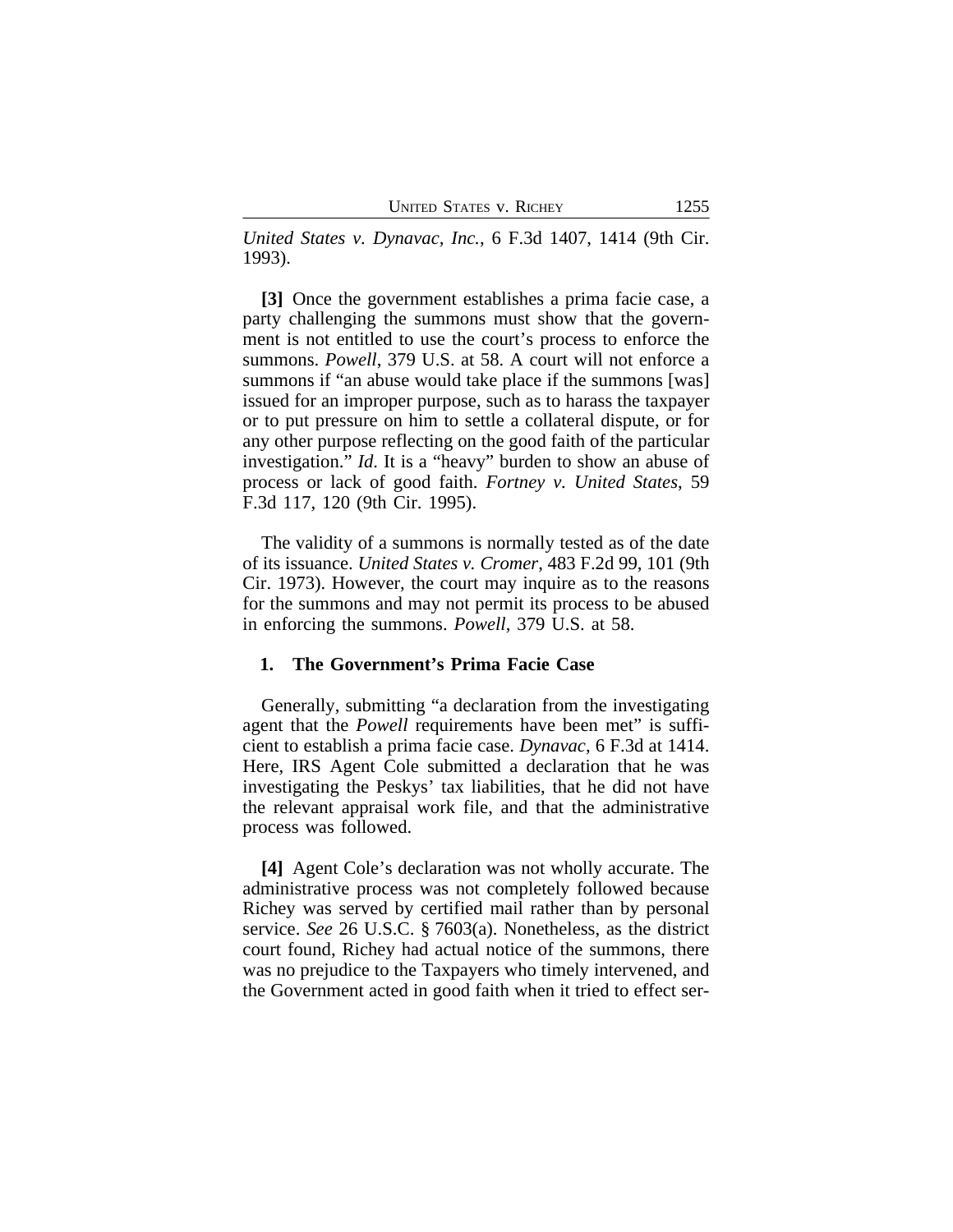*United States v. Dynavac, Inc.*, 6 F.3d 1407, 1414 (9th Cir. 1993).

**[3]** Once the government establishes a prima facie case, a party challenging the summons must show that the government is not entitled to use the court's process to enforce the summons. *Powell*, 379 U.S. at 58. A court will not enforce a summons if "an abuse would take place if the summons [was] issued for an improper purpose, such as to harass the taxpayer or to put pressure on him to settle a collateral dispute, or for any other purpose reflecting on the good faith of the particular investigation." *Id*. It is a "heavy" burden to show an abuse of process or lack of good faith. *Fortney v. United States*, 59 F.3d 117, 120 (9th Cir. 1995).

The validity of a summons is normally tested as of the date of its issuance. *United States v. Cromer*, 483 F.2d 99, 101 (9th Cir. 1973). However, the court may inquire as to the reasons for the summons and may not permit its process to be abused in enforcing the summons. *Powell*, 379 U.S. at 58.

## **1. The Government's Prima Facie Case**

Generally, submitting "a declaration from the investigating agent that the *Powell* requirements have been met" is sufficient to establish a prima facie case. *Dynavac*, 6 F.3d at 1414. Here, IRS Agent Cole submitted a declaration that he was investigating the Peskys' tax liabilities, that he did not have the relevant appraisal work file, and that the administrative process was followed.

**[4]** Agent Cole's declaration was not wholly accurate. The administrative process was not completely followed because Richey was served by certified mail rather than by personal service. *See* 26 U.S.C. § 7603(a). Nonetheless, as the district court found, Richey had actual notice of the summons, there was no prejudice to the Taxpayers who timely intervened, and the Government acted in good faith when it tried to effect ser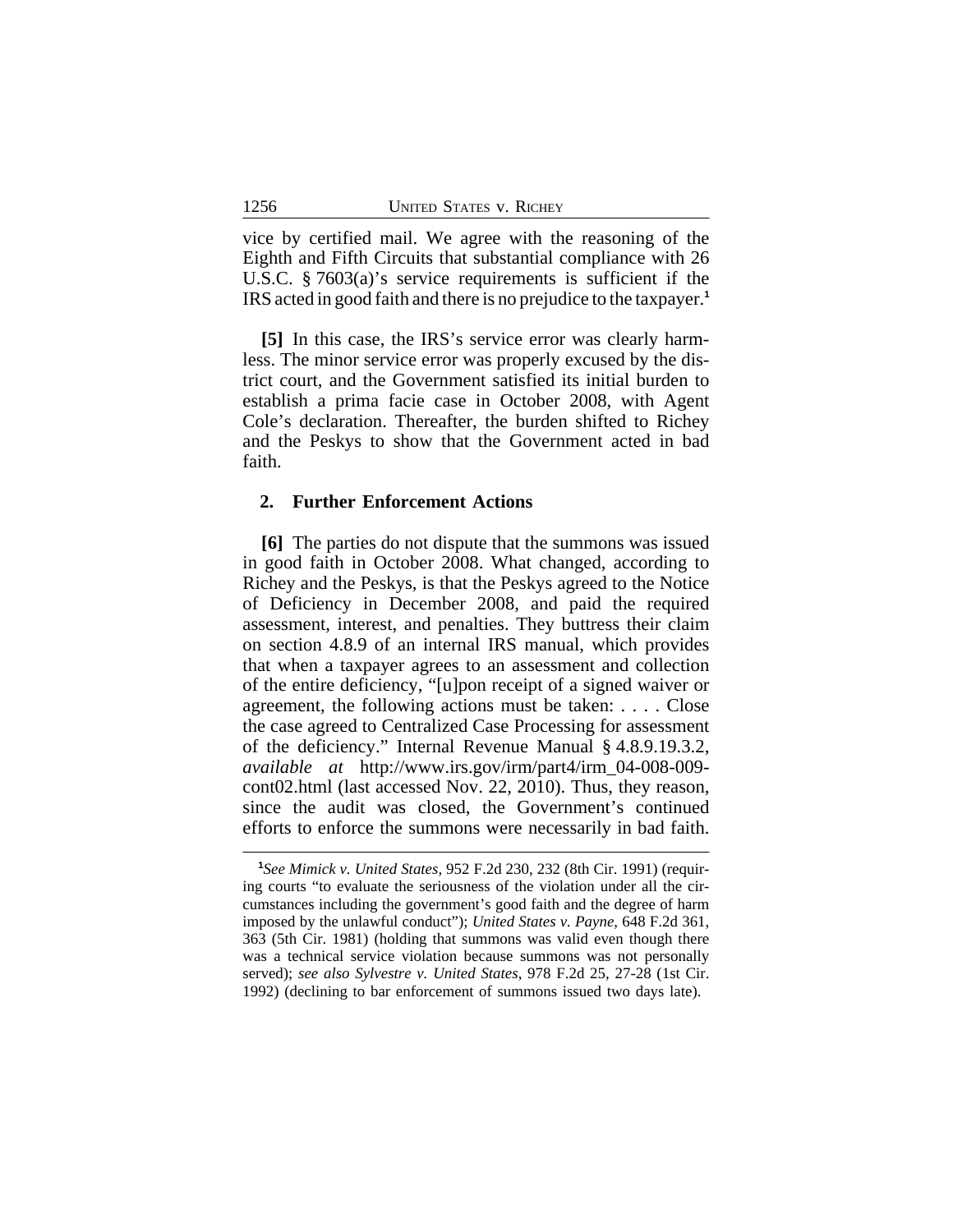vice by certified mail. We agree with the reasoning of the Eighth and Fifth Circuits that substantial compliance with 26 U.S.C. § 7603(a)'s service requirements is sufficient if the IRS acted in good faith and there is no prejudice to the taxpayer.**<sup>1</sup>**

**[5]** In this case, the IRS's service error was clearly harmless. The minor service error was properly excused by the district court, and the Government satisfied its initial burden to establish a prima facie case in October 2008, with Agent Cole's declaration. Thereafter, the burden shifted to Richey and the Peskys to show that the Government acted in bad faith.

#### **2. Further Enforcement Actions**

**[6]** The parties do not dispute that the summons was issued in good faith in October 2008. What changed, according to Richey and the Peskys, is that the Peskys agreed to the Notice of Deficiency in December 2008, and paid the required assessment, interest, and penalties. They buttress their claim on section 4.8.9 of an internal IRS manual, which provides that when a taxpayer agrees to an assessment and collection of the entire deficiency, "[u]pon receipt of a signed waiver or agreement, the following actions must be taken: . . . . Close the case agreed to Centralized Case Processing for assessment of the deficiency." Internal Revenue Manual § 4.8.9.19.3.2, *available at* http://www.irs.gov/irm/part4/irm\_04-008-009 cont02.html (last accessed Nov. 22, 2010). Thus, they reason, since the audit was closed, the Government's continued efforts to enforce the summons were necessarily in bad faith.

**<sup>1</sup>** *See Mimick v. United States*, 952 F.2d 230, 232 (8th Cir. 1991) (requiring courts "to evaluate the seriousness of the violation under all the circumstances including the government's good faith and the degree of harm imposed by the unlawful conduct"); *United States v. Payne*, 648 F.2d 361, 363 (5th Cir. 1981) (holding that summons was valid even though there was a technical service violation because summons was not personally served); *see also Sylvestre v. United States*, 978 F.2d 25, 27-28 (1st Cir. 1992) (declining to bar enforcement of summons issued two days late).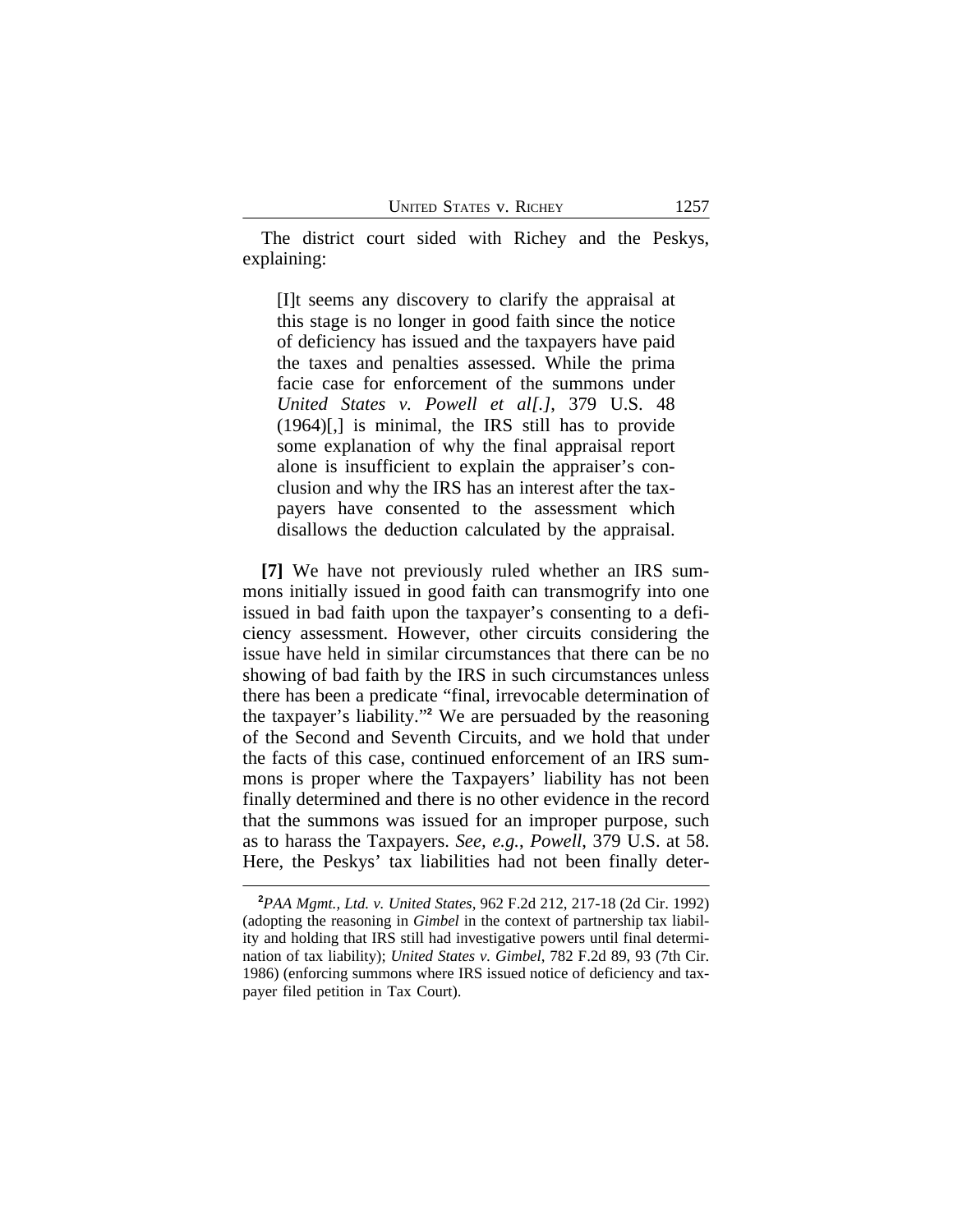The district court sided with Richey and the Peskys, explaining:

[I]t seems any discovery to clarify the appraisal at this stage is no longer in good faith since the notice of deficiency has issued and the taxpayers have paid the taxes and penalties assessed. While the prima facie case for enforcement of the summons under *United States v. Powell et al[.]*, 379 U.S. 48 (1964)[,] is minimal, the IRS still has to provide some explanation of why the final appraisal report alone is insufficient to explain the appraiser's conclusion and why the IRS has an interest after the taxpayers have consented to the assessment which disallows the deduction calculated by the appraisal.

**[7]** We have not previously ruled whether an IRS summons initially issued in good faith can transmogrify into one issued in bad faith upon the taxpayer's consenting to a deficiency assessment. However, other circuits considering the issue have held in similar circumstances that there can be no showing of bad faith by the IRS in such circumstances unless there has been a predicate "final, irrevocable determination of the taxpayer's liability." **2** We are persuaded by the reasoning of the Second and Seventh Circuits, and we hold that under the facts of this case, continued enforcement of an IRS summons is proper where the Taxpayers' liability has not been finally determined and there is no other evidence in the record that the summons was issued for an improper purpose, such as to harass the Taxpayers. *See, e.g.*, *Powell*, 379 U.S. at 58. Here, the Peskys' tax liabilities had not been finally deter-

**<sup>2</sup>***PAA Mgmt., Ltd. v. United States*, 962 F.2d 212, 217-18 (2d Cir. 1992) (adopting the reasoning in *Gimbel* in the context of partnership tax liability and holding that IRS still had investigative powers until final determination of tax liability); *United States v. Gimbel*, 782 F.2d 89, 93 (7th Cir. 1986) (enforcing summons where IRS issued notice of deficiency and taxpayer filed petition in Tax Court).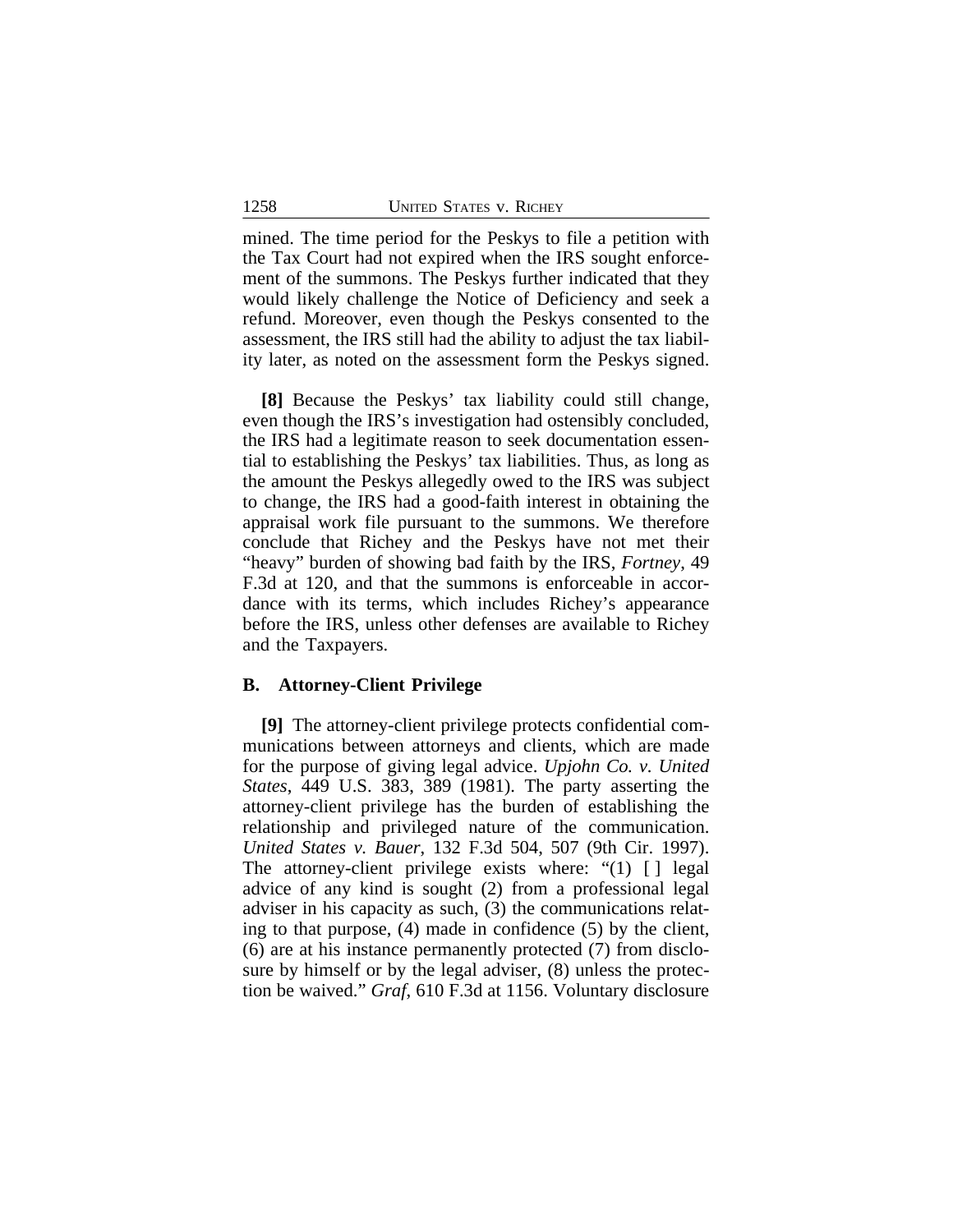mined. The time period for the Peskys to file a petition with the Tax Court had not expired when the IRS sought enforcement of the summons. The Peskys further indicated that they would likely challenge the Notice of Deficiency and seek a refund. Moreover, even though the Peskys consented to the assessment, the IRS still had the ability to adjust the tax liability later, as noted on the assessment form the Peskys signed.

**[8]** Because the Peskys' tax liability could still change, even though the IRS's investigation had ostensibly concluded, the IRS had a legitimate reason to seek documentation essential to establishing the Peskys' tax liabilities. Thus, as long as the amount the Peskys allegedly owed to the IRS was subject to change, the IRS had a good-faith interest in obtaining the appraisal work file pursuant to the summons. We therefore conclude that Richey and the Peskys have not met their "heavy" burden of showing bad faith by the IRS, *Fortney*, 49 F.3d at 120, and that the summons is enforceable in accordance with its terms, which includes Richey's appearance before the IRS, unless other defenses are available to Richey and the Taxpayers.

## **B. Attorney-Client Privilege**

**[9]** The attorney-client privilege protects confidential communications between attorneys and clients, which are made for the purpose of giving legal advice. *Upjohn Co. v. United States*, 449 U.S. 383, 389 (1981). The party asserting the attorney-client privilege has the burden of establishing the relationship and privileged nature of the communication. *United States v. Bauer*, 132 F.3d 504, 507 (9th Cir. 1997). The attorney-client privilege exists where: "(1) [ ] legal advice of any kind is sought (2) from a professional legal adviser in his capacity as such, (3) the communications relating to that purpose, (4) made in confidence (5) by the client, (6) are at his instance permanently protected (7) from disclosure by himself or by the legal adviser, (8) unless the protection be waived." *Graf*, 610 F.3d at 1156. Voluntary disclosure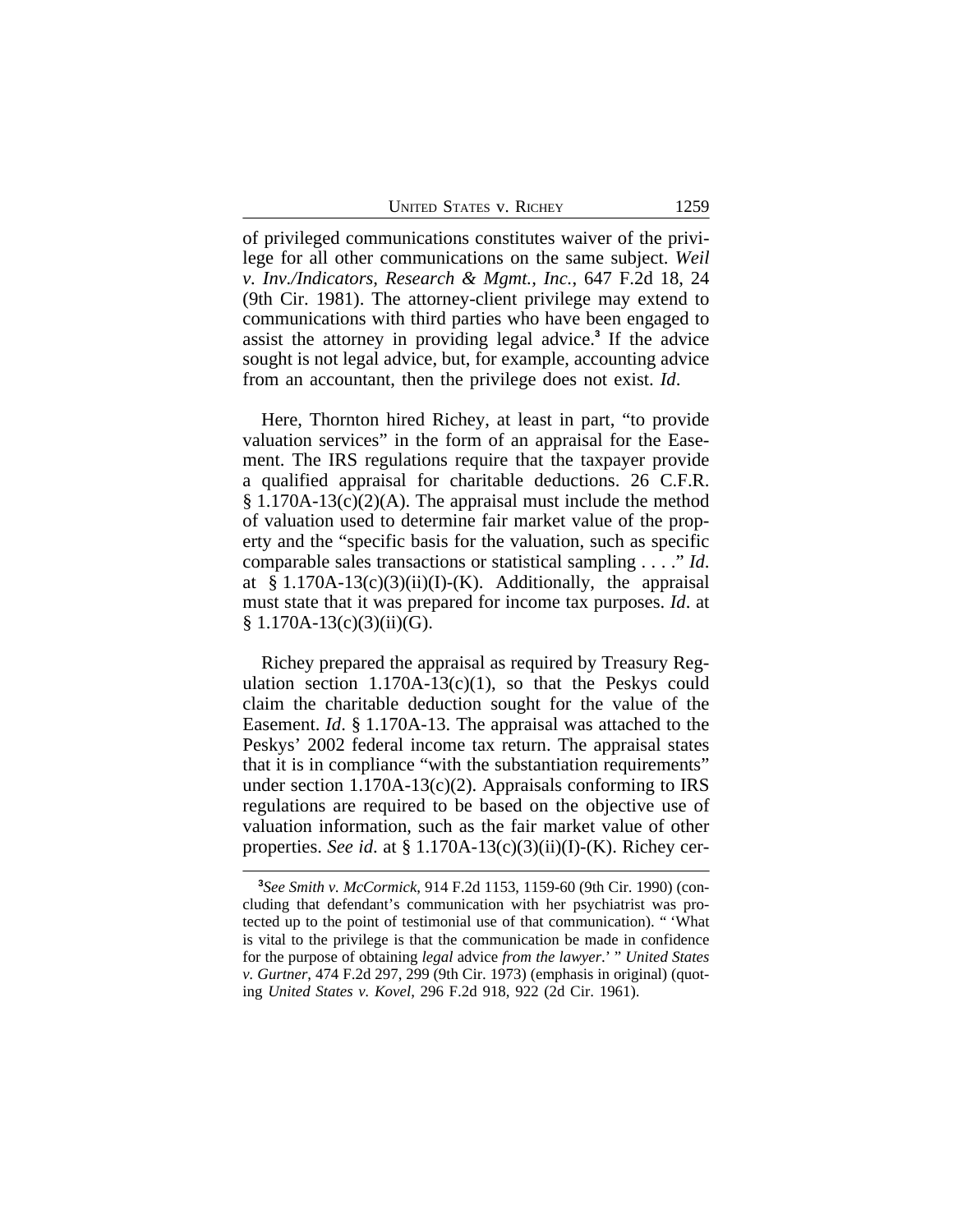UNITED STATES V. RICHEY 1259

of privileged communications constitutes waiver of the privilege for all other communications on the same subject. *Weil v. Inv./Indicators, Research & Mgmt., Inc.*, 647 F.2d 18, 24 (9th Cir. 1981). The attorney-client privilege may extend to communications with third parties who have been engaged to assist the attorney in providing legal advice.**<sup>3</sup>** If the advice sought is not legal advice, but, for example, accounting advice from an accountant, then the privilege does not exist. *Id*.

Here, Thornton hired Richey, at least in part, "to provide valuation services" in the form of an appraisal for the Easement. The IRS regulations require that the taxpayer provide a qualified appraisal for charitable deductions. 26 C.F.R.  $§ 1.170A-13(c)(2)(A)$ . The appraisal must include the method of valuation used to determine fair market value of the property and the "specific basis for the valuation, such as specific comparable sales transactions or statistical sampling . . . ." *Id*. at  $§ 1.170A-13(c)(3)(ii)(I)-(K)$ . Additionally, the appraisal must state that it was prepared for income tax purposes. *Id*. at  $§ 1.170A-13(c)(3)(ii)(G).$ 

Richey prepared the appraisal as required by Treasury Regulation section  $1.170A-13(c)(1)$ , so that the Peskys could claim the charitable deduction sought for the value of the Easement. *Id*. § 1.170A-13. The appraisal was attached to the Peskys' 2002 federal income tax return. The appraisal states that it is in compliance "with the substantiation requirements" under section 1.170A-13(c)(2). Appraisals conforming to IRS regulations are required to be based on the objective use of valuation information, such as the fair market value of other properties. *See id*. at § 1.170A-13(c)(3)(ii)(I)-(K). Richey cer-

**<sup>3</sup>** *See Smith v. McCormick*, 914 F.2d 1153, 1159-60 (9th Cir. 1990) (concluding that defendant's communication with her psychiatrist was protected up to the point of testimonial use of that communication). " 'What is vital to the privilege is that the communication be made in confidence for the purpose of obtaining *legal* advice *from the lawyer*.' " *United States v. Gurtner*, 474 F.2d 297, 299 (9th Cir. 1973) (emphasis in original) (quoting *United States v. Kovel*, 296 F.2d 918, 922 (2d Cir. 1961).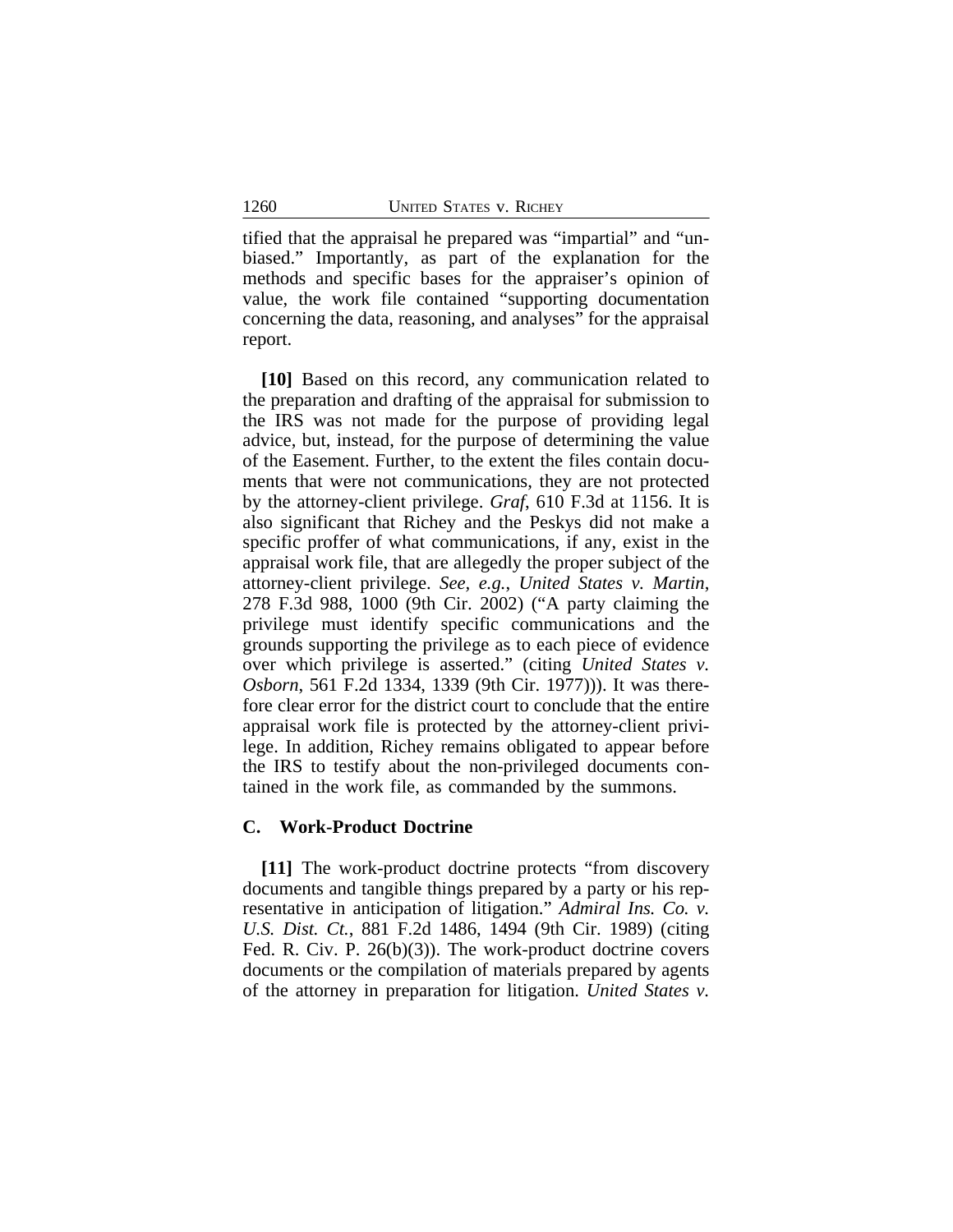tified that the appraisal he prepared was "impartial" and "unbiased." Importantly, as part of the explanation for the methods and specific bases for the appraiser's opinion of value, the work file contained "supporting documentation concerning the data, reasoning, and analyses" for the appraisal report.

**[10]** Based on this record, any communication related to the preparation and drafting of the appraisal for submission to the IRS was not made for the purpose of providing legal advice, but, instead, for the purpose of determining the value of the Easement. Further, to the extent the files contain documents that were not communications, they are not protected by the attorney-client privilege. *Graf*, 610 F.3d at 1156. It is also significant that Richey and the Peskys did not make a specific proffer of what communications, if any, exist in the appraisal work file, that are allegedly the proper subject of the attorney-client privilege. *See, e.g.*, *United States v. Martin*, 278 F.3d 988, 1000 (9th Cir. 2002) ("A party claiming the privilege must identify specific communications and the grounds supporting the privilege as to each piece of evidence over which privilege is asserted." (citing *United States v. Osborn*, 561 F.2d 1334, 1339 (9th Cir. 1977))). It was therefore clear error for the district court to conclude that the entire appraisal work file is protected by the attorney-client privilege. In addition, Richey remains obligated to appear before the IRS to testify about the non-privileged documents contained in the work file, as commanded by the summons.

#### **C. Work-Product Doctrine**

**[11]** The work-product doctrine protects "from discovery documents and tangible things prepared by a party or his representative in anticipation of litigation." *Admiral Ins. Co. v. U.S. Dist. Ct.*, 881 F.2d 1486, 1494 (9th Cir. 1989) (citing Fed. R. Civ. P. 26(b)(3)). The work-product doctrine covers documents or the compilation of materials prepared by agents of the attorney in preparation for litigation. *United States v.*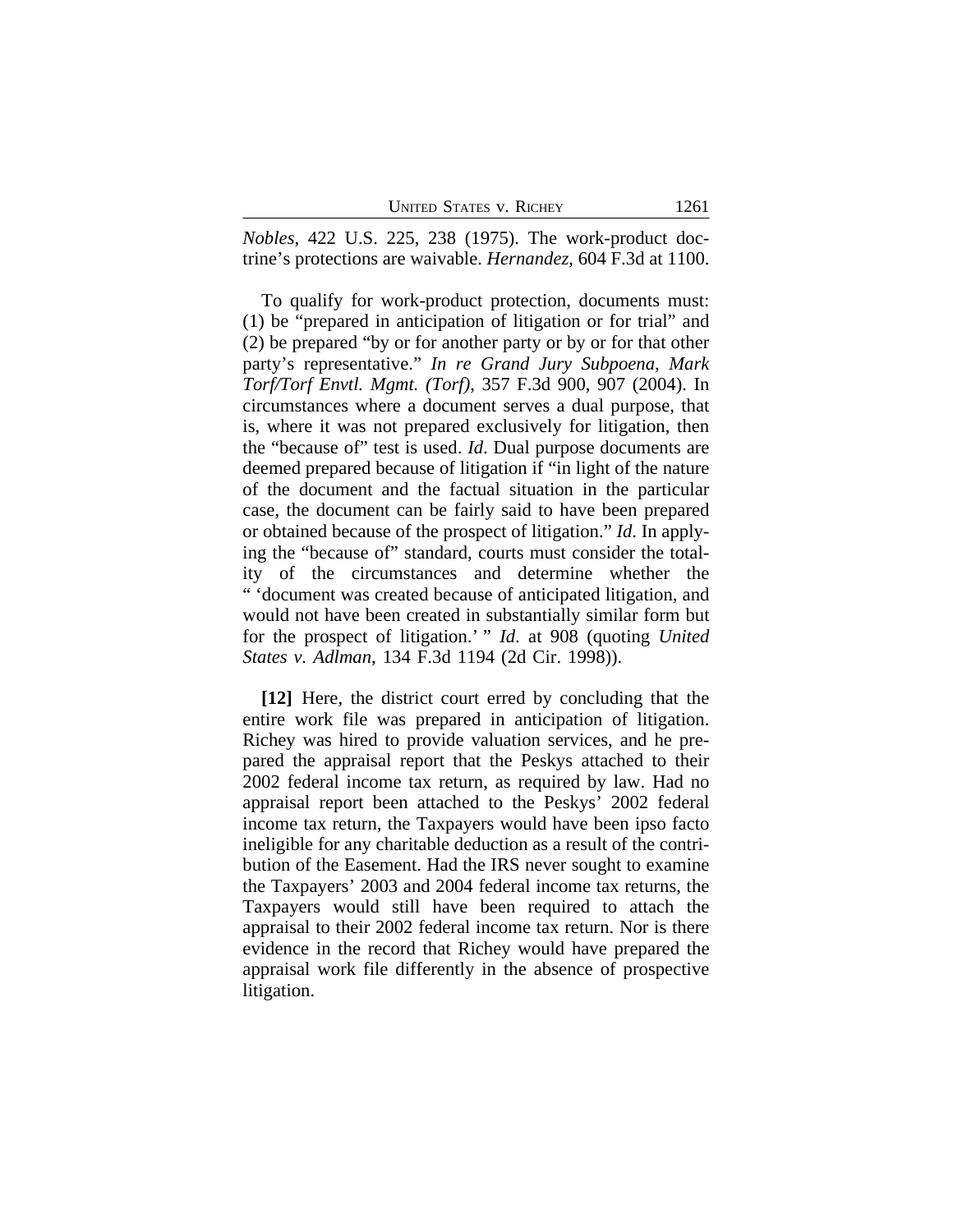| <b>UNITED STATES V. RICHEY</b> | 1261 |
|--------------------------------|------|
|--------------------------------|------|

*Nobles*, 422 U.S. 225, 238 (1975). The work-product doctrine's protections are waivable. *Hernandez*, 604 F.3d at 1100.

To qualify for work-product protection, documents must: (1) be "prepared in anticipation of litigation or for trial" and (2) be prepared "by or for another party or by or for that other party's representative." *In re Grand Jury Subpoena, Mark Torf/Torf Envtl. Mgmt. (Torf)*, 357 F.3d 900, 907 (2004). In circumstances where a document serves a dual purpose, that is, where it was not prepared exclusively for litigation, then the "because of" test is used. *Id*. Dual purpose documents are deemed prepared because of litigation if "in light of the nature of the document and the factual situation in the particular case, the document can be fairly said to have been prepared or obtained because of the prospect of litigation." *Id*. In applying the "because of" standard, courts must consider the totality of the circumstances and determine whether the " 'document was created because of anticipated litigation, and would not have been created in substantially similar form but for the prospect of litigation.' " *Id*. at 908 (quoting *United States v. Adlman*, 134 F.3d 1194 (2d Cir. 1998)).

**[12]** Here, the district court erred by concluding that the entire work file was prepared in anticipation of litigation. Richey was hired to provide valuation services, and he prepared the appraisal report that the Peskys attached to their 2002 federal income tax return, as required by law. Had no appraisal report been attached to the Peskys' 2002 federal income tax return, the Taxpayers would have been ipso facto ineligible for any charitable deduction as a result of the contribution of the Easement. Had the IRS never sought to examine the Taxpayers' 2003 and 2004 federal income tax returns, the Taxpayers would still have been required to attach the appraisal to their 2002 federal income tax return. Nor is there evidence in the record that Richey would have prepared the appraisal work file differently in the absence of prospective litigation.